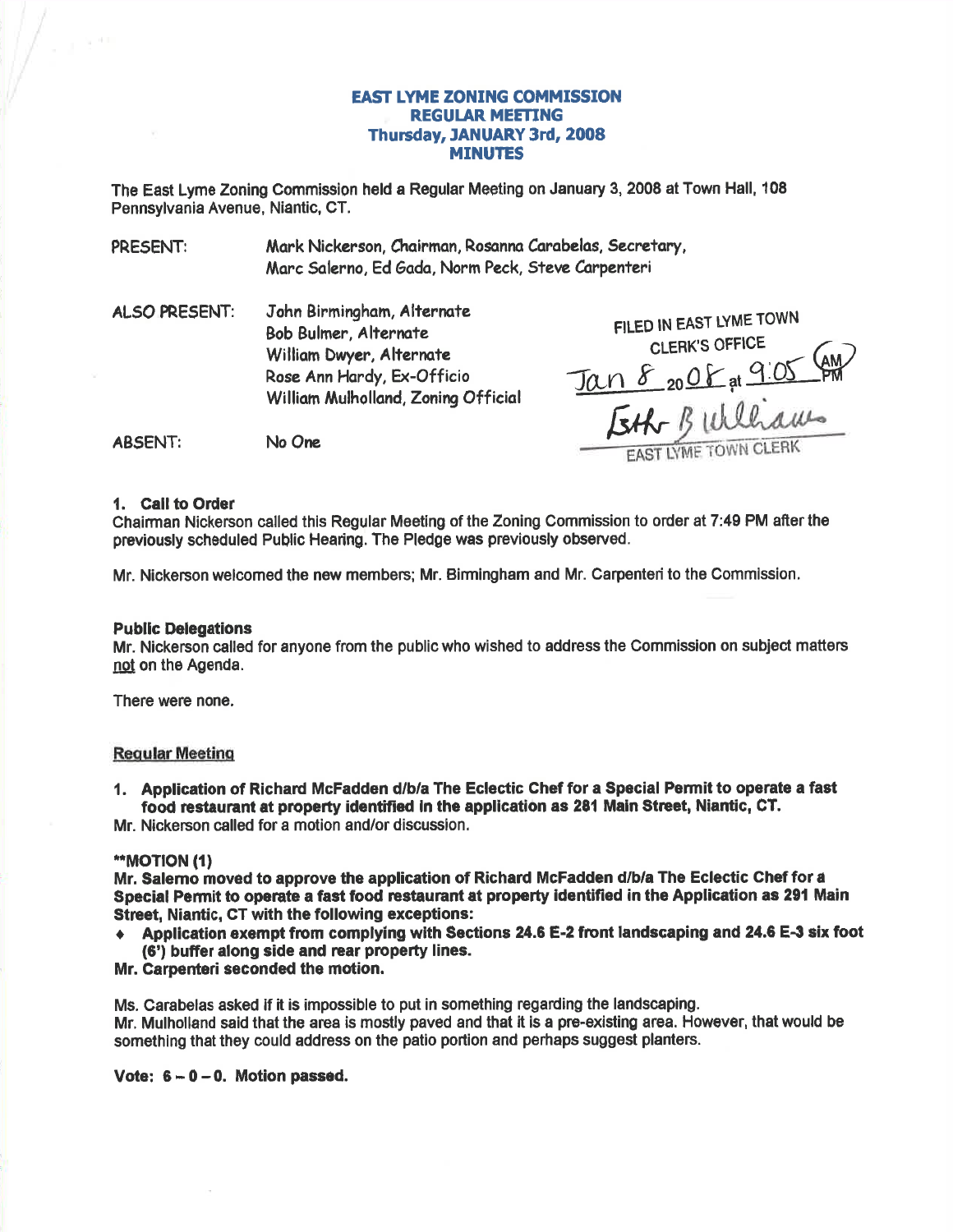# **EAST LYME ZONING COMMISSION REGULAR MEETING** Thursday, JANUARY 3rd, 2008 **MINUTES**

The East Lyme Zoning Commission held a Regular Meeting on January 3, 2008 at Town Hall, 108 Pennsvivania Avenue, Niantic, CT.

PRESENT: Mark Nickerson, Chairman, Rosanna Carabelas, Secretary, Marc Salerno, Ed Gada, Norm Peck, Steve Carpenteri

John Birmingham, Alternate **ALSO PRESENT: Bob Bulmer, Alternate** William Dwyer, Alternate Rose Ann Hardy, Ex-Officio William Mulholland, Zonina Official

FILED IN EAST LYME TOWN **CLERK'S OFFICE** Jan 8 2008 at 9.05 AM **TIYME TOWN C** 

No One **ABSENT:** 

#### 1. Call to Order

Chairman Nickerson called this Regular Meeting of the Zoning Commission to order at 7:49 PM after the previously scheduled Public Hearing. The Pledge was previously observed.

Mr. Nickerson welcomed the new members; Mr. Birmingham and Mr. Carpenteri to the Commission.

# **Public Delegations**

Mr. Nickerson called for anyone from the public who wished to address the Commission on subject matters not on the Agenda.

There were none.

# **Regular Meeting**

1. Application of Richard McFadden d/b/a The Eclectic Chef for a Special Permit to operate a fast food restaurant at property identified in the application as 281 Main Street, Niantic. CT.

Mr. Nickerson called for a motion and/or discussion.

# \*\*MOTION (1)

Mr. Salemo moved to approve the application of Richard McFadden d/b/a The Eclectic Chef for a Special Permit to operate a fast food restaurant at property identified in the Application as 291 Main Street. Niantic. CT with the following exceptions:

Application exempt from complying with Sections 24.6 E-2 front landscaping and 24.6 E-3 six foot (6') buffer along side and rear property lines.

# Mr. Carpenteri seconded the motion.

Ms. Carabelas asked if it is impossible to put in something regarding the landscaping. Mr. Mulholland said that the area is mostly paved and that it is a pre-existing area. However, that would be something that they could address on the patio portion and perhaps suggest planters.

Vote:  $6 - 0 - 0$ . Motion passed.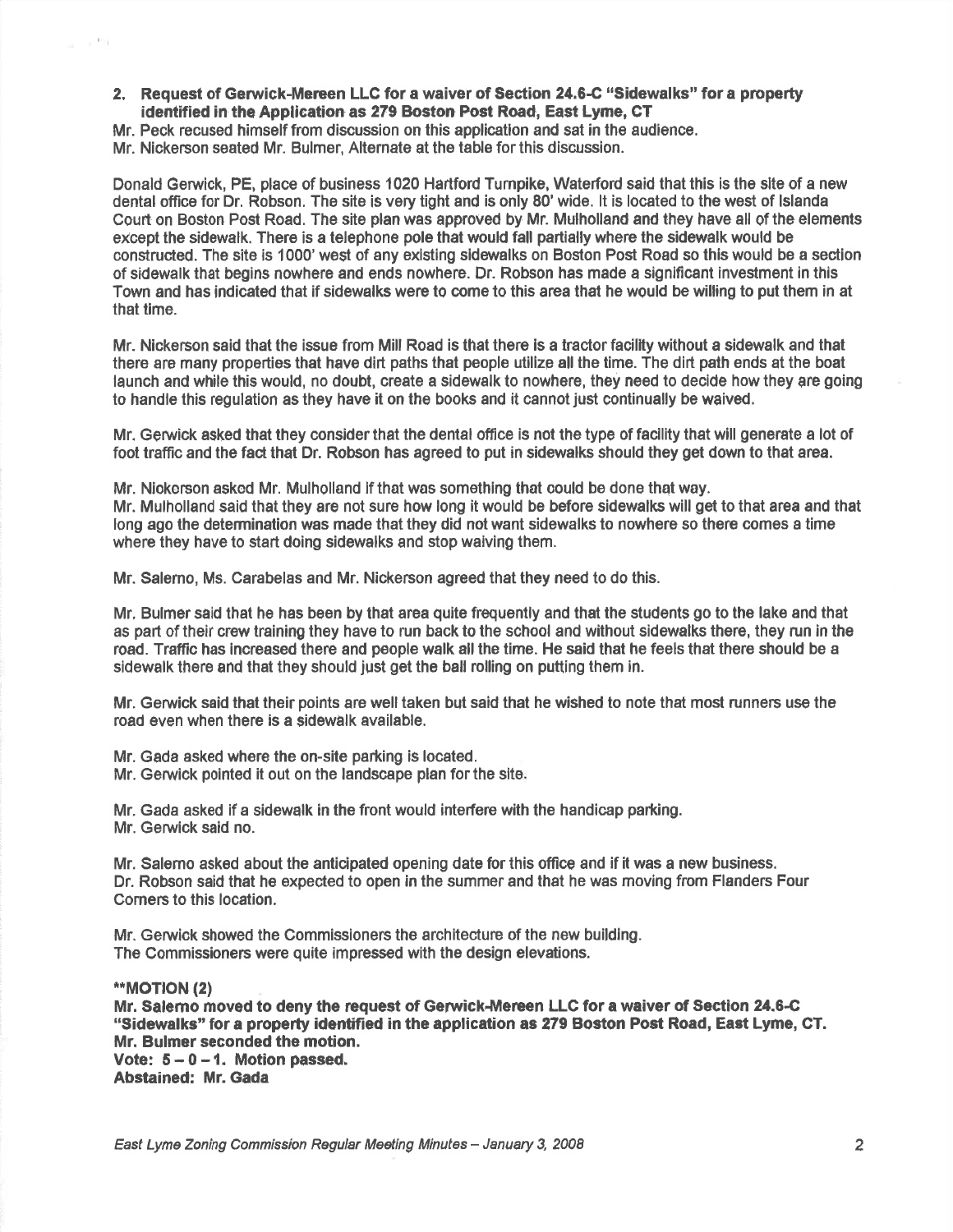2. Request of Gerwick-Mereen LLC for a waiver of Section 24.6-C "Sidewalks" for a property identified in the Application as 279 Boston Post Road, East Lyme, CT

Mr. Peck recused himself from discussion on this applicatlon and sat in the audience. Mr. Nickerson seated Mr. Bulmer, Alternate at the table for this discussion.

Donald Gerwick, PE, place of business 1020 Hartford Turnpike, Waterford said that this is the site of a new dental office for Dr. Robson, The site is very tight and is only 80'wide. lt is located to the west of lslanda Court on Boston Post Road. The site plan was approved by Mr. Mulholland and they have all of the elements except the sidewalk. There is a telephone pole that would fall partially where the sidewalk would be constructed. The site is 1000' west of any exlsting sidewalks on Boston Post Road so this would be a section of sidewalk that begins nowhere and ends nowhere, Dr. Robson has made a significant investment in this Town and has indicated that if sidewalks were to come to this area that he would be willing to put them in at that time.

Mr. Nickerson said that the issue from Mill Road is that there ls a tractor facility without a sidewalk and that there are many properties that have dirt paths that people utilize all the time. The dirt path ends at the boat launch and while this would, no doubt, create a sidewalk to nowhere, they need to decide how they are going to handle this regulation as they have it on the books and it cannot just continually be waived

Mr. Gerwick asked that they consider that the dental office is not the type of facility that will generate a lot of foot traffic and the fact that Dr. Robson has agreed to put in sidewalks should they get down to that area.

Mr. Niokorson askod Mr. Mulholland if that was something that could be done that way. Mr. Mulholland said that they are not sure how long it would be before sidewalks will get to that area and that long ago the determination was made that they did not want sidewalks to nowhere so there comes a time where they have to start doing sidewalks and stop waiving them.

Mr. Salemo, Ms. Carabelas and Mr. Nickerson agreed that they need to do this.

Mr, Bulmer said that he has been by that area quite frequently and that the students go to the lake and that as part of their crew training they have to run back to the school and without sidewalks there, they run in the road. Traffic has increased there and people walk all the time. He said that he feels that there should be a sidewalk there and that they should just get the ball rolling on putting them in.

Mr. Gerwick said that their points are well taken but said that he wished to note that most runners use the road even when there is a sidewalk available.

Mr. Gada asked where the on-site parking is located.

Mr. Gerwick pointed it out on the landscape plan for the site

Mr. Gada asked if a sidewqlk in the front would interfere with the handicap parking. Mr. Gerwlck said no.

Mr. Salemo asked about the anticipated opening date for this office and if it was a new business. Dr. Robson said that he expected to open in the summer and that he was moving from Flanders Four Comers to this location.

Mr. Gerwiok showed the Commissioners the architecture of the new building. The Commissioners were quite impressed with the design elevations.

\*\*MOT|ON (2)

 $-001$ 

Mr. Salemo moved to deny the request of Gerwick-Mereen LLC for a waiver of Section 24.6-C "Sidewalks" for a propefi identified in the application as 279 Boston Post Road, East Lyme, CT. Mr. Bulmer seconded the motion.

Vote:  $5-0-1$ . Motion passed. Abstained: Mr. Gada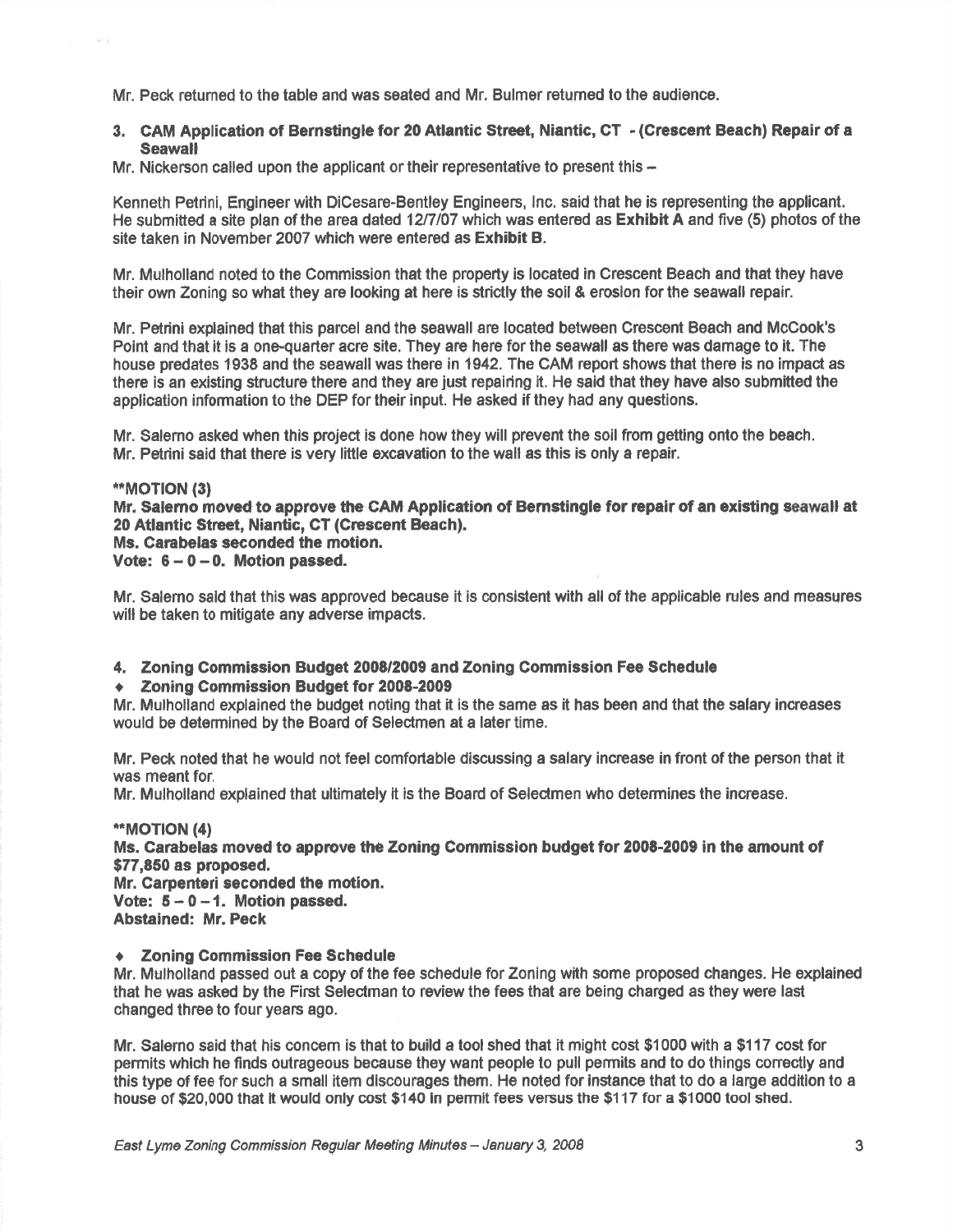Mr. Peck returned to the table and was seated and Mr, Bulmer retumed to the audience.

# 3. GAM Application of Bernstingle tor 20 Atlantic Street, Niantic, CT - (Grescent Beach) Repair of <sup>a</sup> **Seawall**

Mr. Nickerson called upon the applicant or their representative to present this \*

Kenneth Petrini, Engineer with DiOesare-Bentley Engineers, lnc. said that he is reprosenting the applicant. He submitted a site plan of the area dated 12/7/07 which was entered as **Exhibit A** and five (5) photos of the site taken in November 2007 which were entered as Exhibit B.

Mr. Mulholland noted to the Commission that the property is located in Crescent Beach and that they have their own Zoning so what they are looking at here is strictly the soil & eroslon for the seawall repair.

Mr. Petrini explained that this parcel and the seawall are located between Crescent Beach and McCook's Point and that it is a one-quarter acre site. They are here for the seawall as there was damage to it. The house predates 1938 and the seawall was there in 1942. The CAM report shows that there is no impact as there is an existing structure there and they are just repairing it. He said that they have also submitted the application information to the DEP for their input. He asked if they had any questions.

Mr. Salemo asked when this project is done how they will prevent the ssil from getting onto the beach. Mr. Petrini said that there is very little excavation to the wall as this is only a repair.

# \*\*MOTION (3)

Mr. Salemo moved to approve the CAM Application of Bernstingle for repair of an existing seawall at 20 Atlantic Street, Niantic, CT (Crescent Beach).

Ms. Carabelas seconded the motion.

Vote:  $6 - 0 - 0$ . Motion passed.

Mr. Salemo sald that this was approved beeause it is eonsistent with all of the applicable rules and measures will be taken to mitigate any adverse impacts.

4. Zoning Commlssion Budget 2008/2009 and Zoning Commission Fee Schedule

◆ Zoning Commission Budget for 2008-2009

Mr. Mulholland explained the budget noting that it is the same as it has been and that the salary increases would be determined by the Board of Selectmen at a later time.

Mr. Peck noted that he would not feol comfortable dlscussing a salary increase in front of the person that it was meant for.

Mr. Mulholland explained that ultimately it is the Board of Seledmen who determines the increase.

\*\*MOTION (4) Ms. Carabelas moved to approve the Zoning Commission budget for 2008-2009 in the amount of \$77,850 as proposed. Mr. Carpenteri seconded the motion. Vote:  $5 - 0 - 1$ . Motion passed. Abstained: Mr. Feck

#### ◆ Zoning Commission Fee Schedule

Mr. Mulholland passed out a copy of the fee schedule for Zoning with some proposed changes, He explained that he was asked by the First Selectman to review the fees that are being charged as they were last changed three to four years ago.

Mr. Salerno said that his concem is that to build a tool shed that it might cost \$1000 with a \$117 cost for permits which he finds outrageous beoause they want people to pull permits and to do things conectly and this type of fee for sueh a small item dlscourages them. He noted for lnstance that to do a large addition to <sup>a</sup> house of \$20,000 that it would only cost \$140 in permit fees versus the \$117 for a \$1000 toolshed.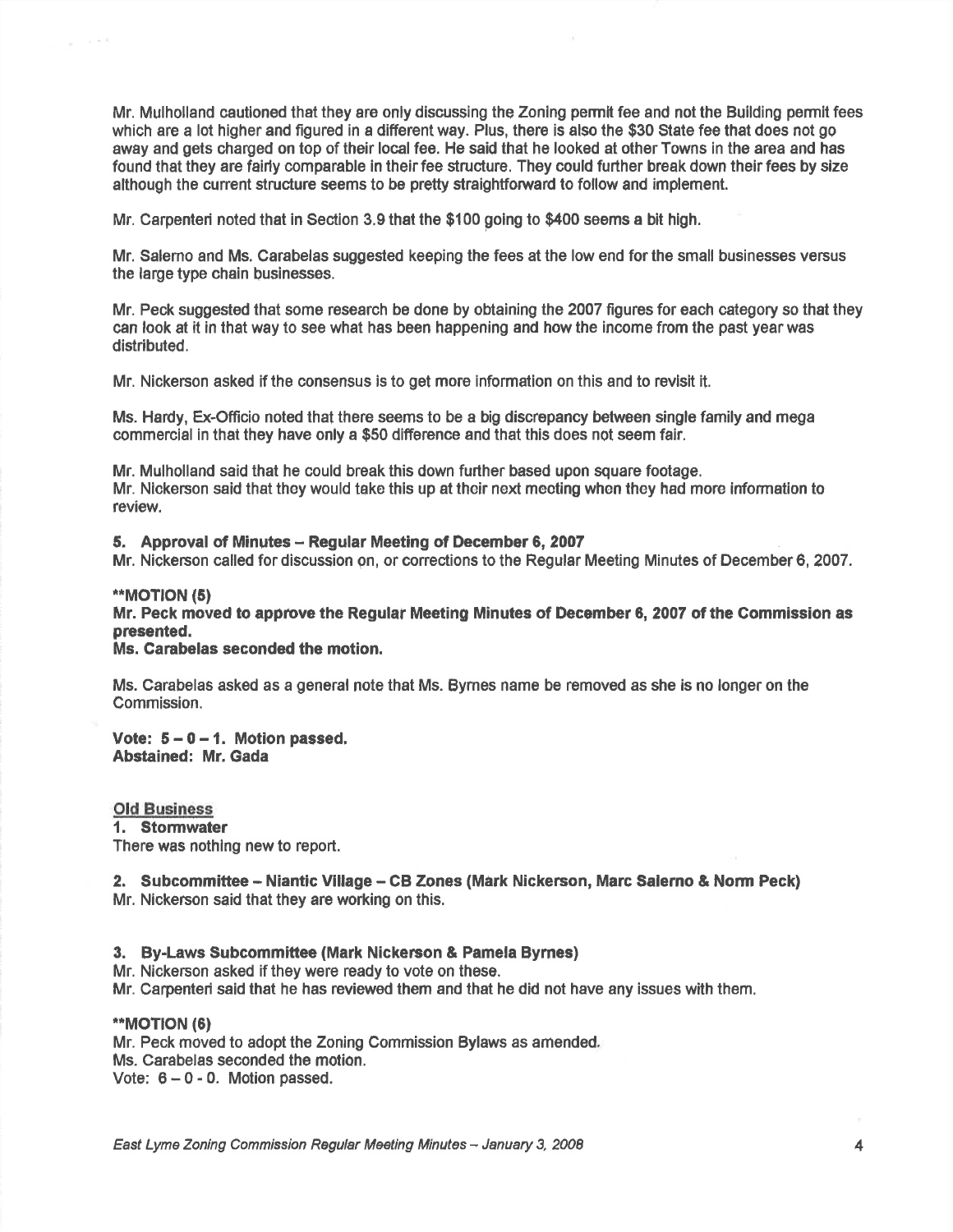Mr. Mulholland cautioned that they are only discussing the Zoning permit fee and not the Building permit fees which are a lot higher and figured in a different way. Plus, there is also the \$30 State fee that does not go away and gets charged on top of their local fee. He said that he looked at other Towns in the area and has found that they are fairly comparable in their fee structure. They could further break down their fees by size although the current structure seems to be pretty straightforward to follow and implement.

Mr. Carpenteri noted that in \$ection 3.9 that the \$100 going to \$400 seems a bit high,

Mr. Salemo and Ms, Carabelas suggested keeping the fees at the low end forthe small businesses versus the large type chain businesses.

Mr. Peck suggested that some research be done by obtaining the 2007 figures for each category so that they can look at it in that way to see what has been happening and how the income from the past year was distributed.

Mr. Nickerson asked if the consensus is to get more information on this and to revlsit it.

Ms. Hardy, Ex-Officio noted that there seems to be a big discrepancy between single family and mega commercial in that they have only a \$50 difference and that this does not seem fair,

Mr. Mulholland said that he could break this down further based upon square footage. Mr. Nlckerson said that thoy would tako thls up at their noxt mocting whon they had more information to review.

#### 5. Approval of Minutes - Regular Meeting of December 6, 2007

Mr. Nickerson called for discussion on, or corrections to the Regular Meeting Minutes of December 6, 2007,

# \*MOT|ON (5)

Mr. Peck moved to approve the Regulaf Meeting Minutes of December 0, 2007 of the Commission as presented,

Ms. Carabelas seconded the motion.

Ms. Carabelas asked as a general note that Ms. Bymes name be removed as she is no longer on the Commission.

Vote:  $5 - 0 - 1$ . Motion passed, Abstained: Mr. Gada

#### Old Eusiness

1. Stormwater

There was nothing new to report.

# 2. Subcommittee - Niantic Village - CB Zones (Mark Nickerson, Marc Salerno & Norm Peck) Mr. Nickerson said that they are working on this.

#### 3. By-Laws Subcommiftee (Mark Nickerson & Pamela Bymes)

Mr. Nickerson asked if they were ready to vote on these.

Mr. Carpenteri said that he has reviewed them and that he did not have any issues with them.

# \*MOT|ON (6)

Mr. Peck moved to adopt the Zoning Commission Bylaws as amended Ms. Carabelas seconded the motion. Vote: 6-0 - 0. Motion passed.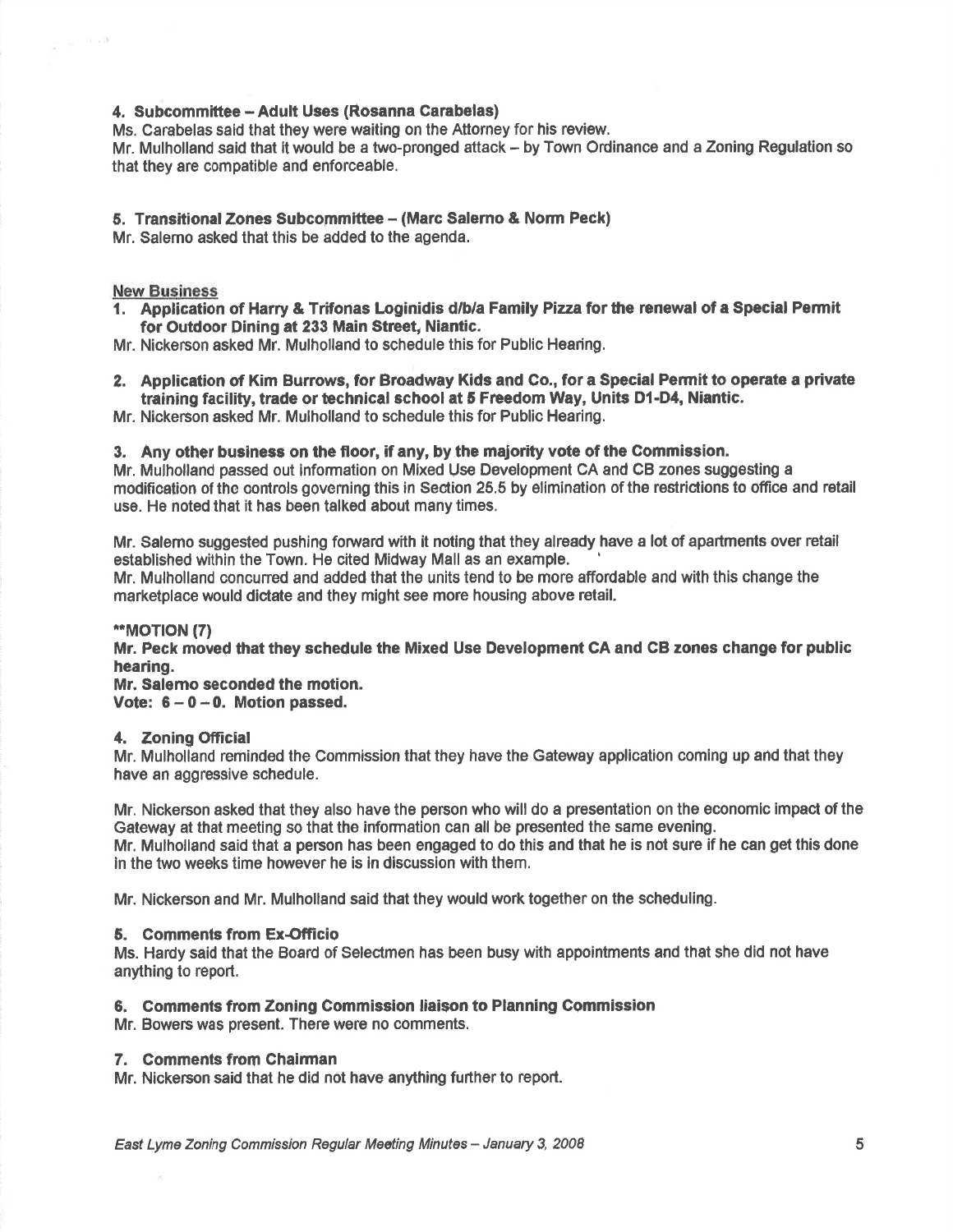# 4. Subcommittee - Adult Uses (Rosanna Carabelas)

Ms. Carabelas said that they were waiting on the Attorney for his review.

Mr. Mulholland said that it would be a two-pronged attack - by Town Ordinance and a Zoning Regulation so that they are compatible and enforceable.

# 5. Transitional Zones Subcommittee – (Marc Salerno & Norm Peck)

Mr. Salemo asked that this be added to the agenda.

# **New Business**

1. Application of Harry & Trifonas loginidis d/b/a Family Pizza for the renewal of a Special Permit for Outdoor Dining at 233 Main Street, Niantic.

Mr. Nickerson asked Mr. Mulholland to schedule this for Public Hearing.

2. Application of Kim Burrows, for Broadway Kids and Co., for a Special Permit to operate a private training facility, trade or technical school at 5 Freedom Way, Units D1-D4, Niantic.

Mr. Nickerson asked Mr. Mulholland to schedule this for Public Hearing.

# 3. Any other business on the floor, if any, by the maJority vote of the Commission.

Mr. Mulholland passed out information on Mlxed Use Development CA and CB zones suggosting <sup>a</sup> modification of the controls governing this in Section 25.5 by elimination of the restrictions to office and retail use. He noted that it has been talked about many times,

Mr. Salemo suggested pushing foruard with it noting that they already have a lot of apartments over retail established within the Town. He cited Midway Mall as an example.

Mr. Mulholland concuned and added that the units tend to be more affordable and with this change the marketplace would dictate and they might see more housing above retail.

# \*\*MOT|ON (7)

Mr. Peck moved that they schedule the Mixed Use Development CA and CB zones change for public hearing.

Mr, Salemo seconded the motion. Vote:  $6-0-0$ . Motion passed.

# 4. Zoning Official

Mr. Mulholland reminded the Commission that they have the Gateway application coming up and that they have an aggressive schedule.

Mr, Nickerson asked that they also have the person who will do a presentation on the economic impact of the Gateway at that meeting so that the information can all be presented the same evening. Mr. Mulholland said that a person has been engaged to do this and that he is not sure if he can get this done in the two weeks time however he is in discussion with them.

Mr. Nickerson and Mr. Mulholland said that they would work together on the scheduling.

# 5. Gomments from Ex-Ofricio

Ms. Hardy said that the Board of Selectmen has been busy with appointments and that she did not have anything to report.

# 6. Gomments from Zoning Gommission liaison to Planning Commission

Mr. Bowers was present. There were no comments.

# 7. Comments from Chairman

Mr. Nickerson said that he did not have anything further to report.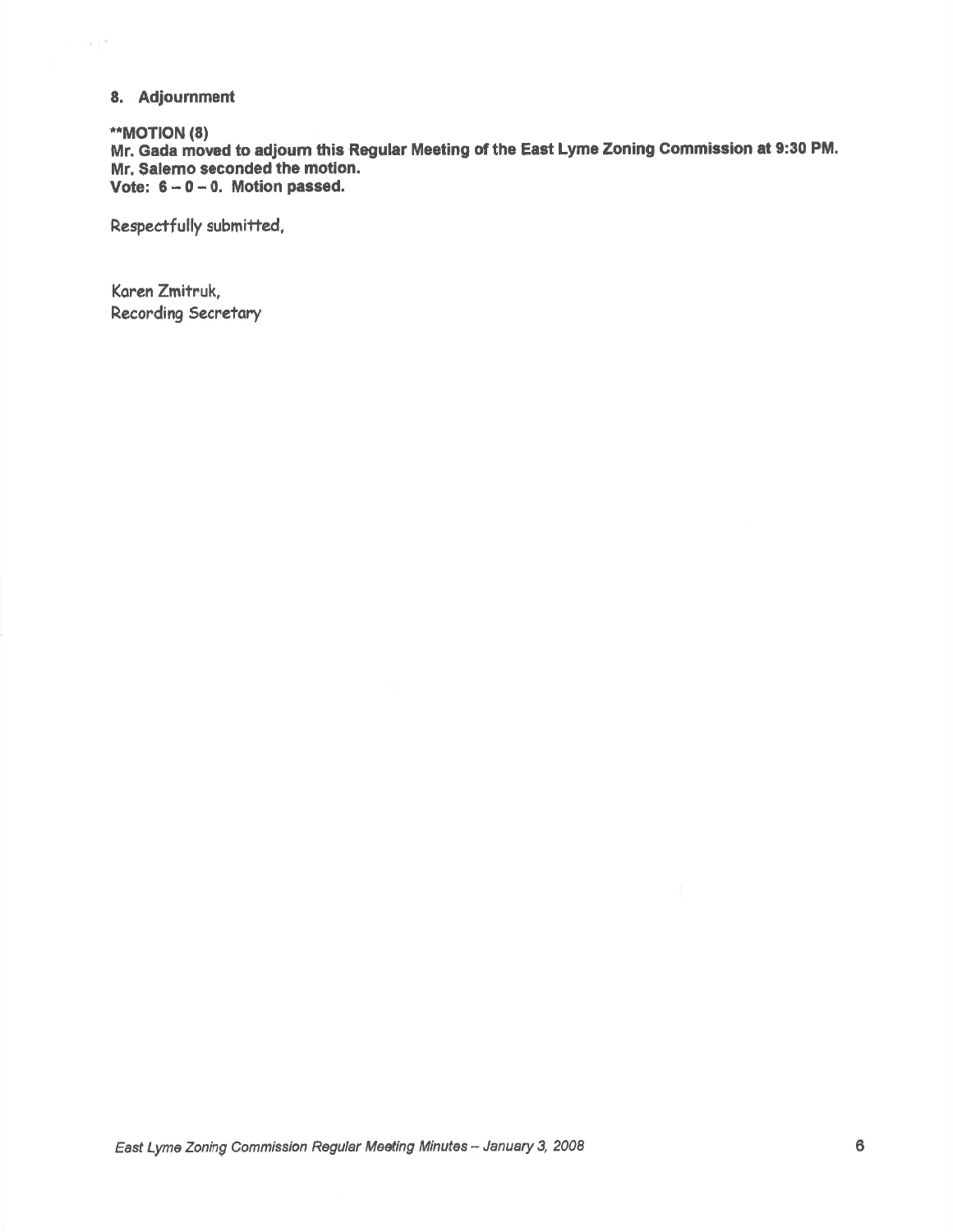# 8. Adjournment

# \*\*MOTION (8)

 $\epsilon \propto \tilde{r}$ 

Mr. Gada moved to adjourn this Regular Meeting of the East Lyme Zoning Commission at 9:30 PM. Mr. Salemo seconded the motion. Vote:  $6 - 0 - 0$ . Motion passed.

Respectfully submitted,

Karen Zmitruk, Recording Secretary